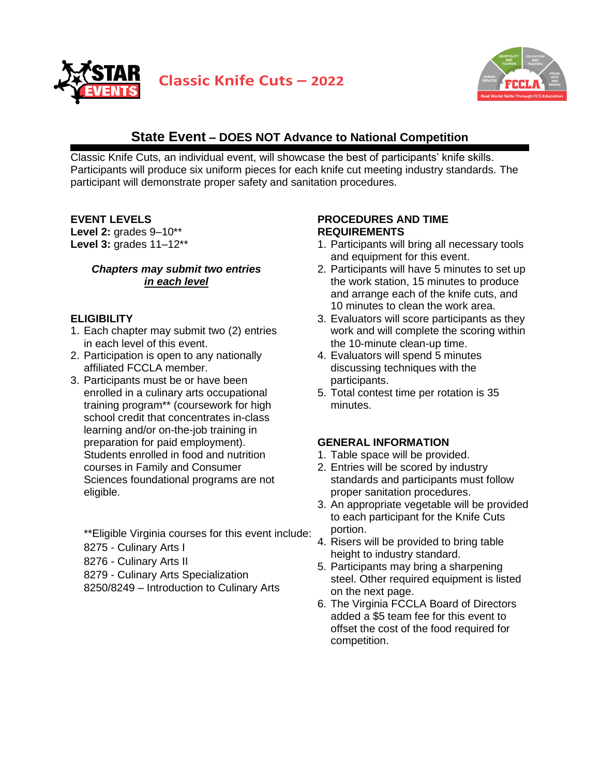



# **State Event – DOES NOT Advance to National Competition**

Classic Knife Cuts, an individual event, will showcase the best of participants' knife skills. Participants will produce six uniform pieces for each knife cut meeting industry standards. The participant will demonstrate proper safety and sanitation procedures.

**EVENT LEVELS**

**Level 2:** grades 9–10\*\* **Level 3:** grades 11–12\*\*

### *Chapters may submit two entries in each level*

## **ELIGIBILITY**

- 1. Each chapter may submit two (2) entries in each level of this event.
- 2. Participation is open to any nationally affiliated FCCLA member.
- 3. Participants must be or have been enrolled in a culinary arts occupational training program\*\* (coursework for high school credit that concentrates in-class learning and/or on-the-job training in preparation for paid employment). Students enrolled in food and nutrition courses in Family and Consumer Sciences foundational programs are not eligible.

\*\*Eligible Virginia courses for this event include:

- 8275 Culinary Arts I
- 8276 Culinary Arts II
- 8279 Culinary Arts Specialization
- 8250/8249 Introduction to Culinary Arts

## **PROCEDURES AND TIME REQUIREMENTS**

- 1. Participants will bring all necessary tools and equipment for this event.
- 2. Participants will have 5 minutes to set up the work station, 15 minutes to produce and arrange each of the knife cuts, and 10 minutes to clean the work area.
- 3. Evaluators will score participants as they work and will complete the scoring within the 10-minute clean-up time.
- 4. Evaluators will spend 5 minutes discussing techniques with the participants.
- 5. Total contest time per rotation is 35 minutes.

## **GENERAL INFORMATION**

- 1. Table space will be provided.
- 2. Entries will be scored by industry standards and participants must follow proper sanitation procedures.
- 3. An appropriate vegetable will be provided to each participant for the Knife Cuts portion.
- 4. Risers will be provided to bring table height to industry standard.
- 5. Participants may bring a sharpening steel. Other required equipment is listed on the next page.
- 6. The Virginia FCCLA Board of Directors added a \$5 team fee for this event to offset the cost of the food required for competition.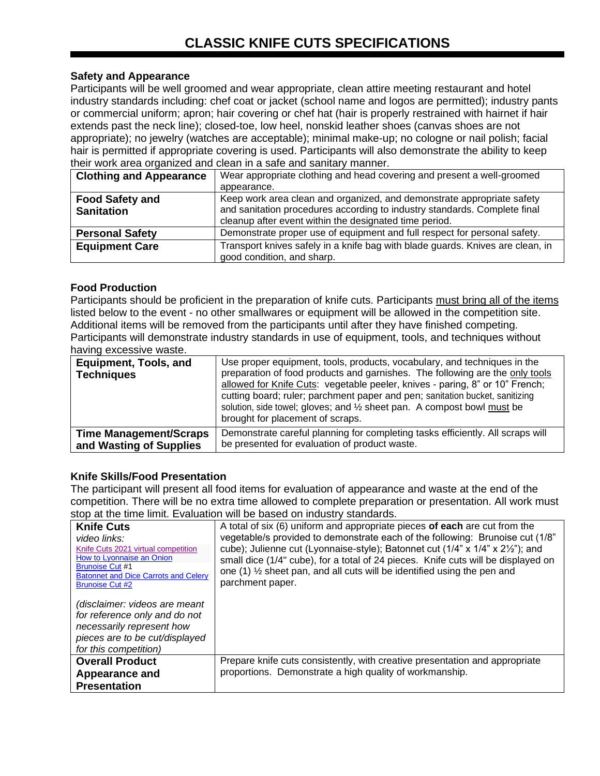## **Safety and Appearance**

Participants will be well groomed and wear appropriate, clean attire meeting restaurant and hotel industry standards including: chef coat or jacket (school name and logos are permitted); industry pants or commercial uniform; apron; hair covering or chef hat (hair is properly restrained with hairnet if hair extends past the neck line); closed-toe, low heel, nonskid leather shoes (canvas shoes are not appropriate); no jewelry (watches are acceptable); minimal make-up; no cologne or nail polish; facial hair is permitted if appropriate covering is used. Participants will also demonstrate the ability to keep their work area organized and clean in a safe and sanitary manner.

| <b>Clothing and Appearance</b>              | Wear appropriate clothing and head covering and present a well-groomed<br>appearance.                                                                                                                         |
|---------------------------------------------|---------------------------------------------------------------------------------------------------------------------------------------------------------------------------------------------------------------|
| <b>Food Safety and</b><br><b>Sanitation</b> | Keep work area clean and organized, and demonstrate appropriate safety<br>and sanitation procedures according to industry standards. Complete final<br>cleanup after event within the designated time period. |
| <b>Personal Safety</b>                      | Demonstrate proper use of equipment and full respect for personal safety.                                                                                                                                     |
| <b>Equipment Care</b>                       | Transport knives safely in a knife bag with blade guards. Knives are clean, in<br>good condition, and sharp.                                                                                                  |

### **Food Production**

Participants should be proficient in the preparation of knife cuts. Participants must bring all of the items listed below to the event - no other smallwares or equipment will be allowed in the competition site. Additional items will be removed from the participants until after they have finished competing. Participants will demonstrate industry standards in use of equipment, tools, and techniques without having excessive waste.

| <b>Equipment, Tools, and</b><br><b>Techniques</b> | Use proper equipment, tools, products, vocabulary, and techniques in the<br>preparation of food products and garnishes. The following are the only tools<br>allowed for Knife Cuts: vegetable peeler, knives - paring, 8" or 10" French;<br>cutting board; ruler; parchment paper and pen; sanitation bucket, sanitizing<br>solution, side towel; gloves; and $\frac{1}{2}$ sheet pan. A compost bowl must be<br>brought for placement of scraps. |
|---------------------------------------------------|---------------------------------------------------------------------------------------------------------------------------------------------------------------------------------------------------------------------------------------------------------------------------------------------------------------------------------------------------------------------------------------------------------------------------------------------------|
| <b>Time Management/Scraps</b>                     | Demonstrate careful planning for completing tasks efficiently. All scraps will                                                                                                                                                                                                                                                                                                                                                                    |
| and Wasting of Supplies                           | be presented for evaluation of product waste.                                                                                                                                                                                                                                                                                                                                                                                                     |

## **Knife Skills/Food Presentation**

The participant will present all food items for evaluation of appearance and waste at the end of the competition. There will be no extra time allowed to complete preparation or presentation. All work must stop at the time limit. Evaluation will be based on industry standards.

| <b>Knife Cuts</b><br>video links:<br>Knife Cuts 2021 virtual competition<br>How to Lyonnaise an Onion<br><b>Brunoise Cut #1</b><br><b>Batonnet and Dice Carrots and Celery</b><br><b>Brunoise Cut #2</b><br>(disclaimer: videos are meant<br>for reference only and do not<br>necessarily represent how<br>pieces are to be cut/displayed<br>for this competition) | A total of six (6) uniform and appropriate pieces of each are cut from the<br>vegetable/s provided to demonstrate each of the following: Brunoise cut (1/8"<br>cube); Julienne cut (Lyonnaise-style); Batonnet cut (1/4" x 1/4" x 21/2"); and<br>small dice (1/4" cube), for a total of 24 pieces. Knife cuts will be displayed on<br>one (1) 1/2 sheet pan, and all cuts will be identified using the pen and<br>parchment paper. |
|--------------------------------------------------------------------------------------------------------------------------------------------------------------------------------------------------------------------------------------------------------------------------------------------------------------------------------------------------------------------|------------------------------------------------------------------------------------------------------------------------------------------------------------------------------------------------------------------------------------------------------------------------------------------------------------------------------------------------------------------------------------------------------------------------------------|
| <b>Overall Product</b>                                                                                                                                                                                                                                                                                                                                             | Prepare knife cuts consistently, with creative presentation and appropriate<br>proportions. Demonstrate a high quality of workmanship.                                                                                                                                                                                                                                                                                             |
| Appearance and<br><b>Presentation</b>                                                                                                                                                                                                                                                                                                                              |                                                                                                                                                                                                                                                                                                                                                                                                                                    |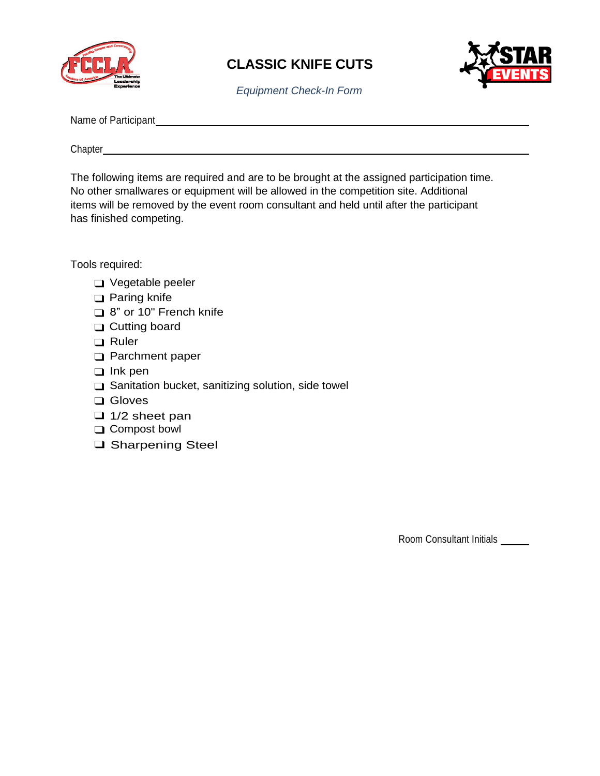



*Equipment Check-In Form*

Name of Participant

Chapter

The following items are required and are to be brought at the assigned participation time. No other smallwares or equipment will be allowed in the competition site. Additional items will be removed by the event room consultant and held until after the participant has finished competing.

Tools required:

- ❑ Vegetable peeler
- ❑ Paring knife
- ❑ 8" or 10" French knife
- ❑ Cutting board
- ❑ Ruler
- ❑ Parchment paper
- ❑ Ink pen
- ❑ Sanitation bucket, sanitizing solution, side towel
- ❑ Gloves
- ❑ 1/2 sheet pan
- ❑ Compost bowl
- ❑ Sharpening Steel

Room Consultant Initials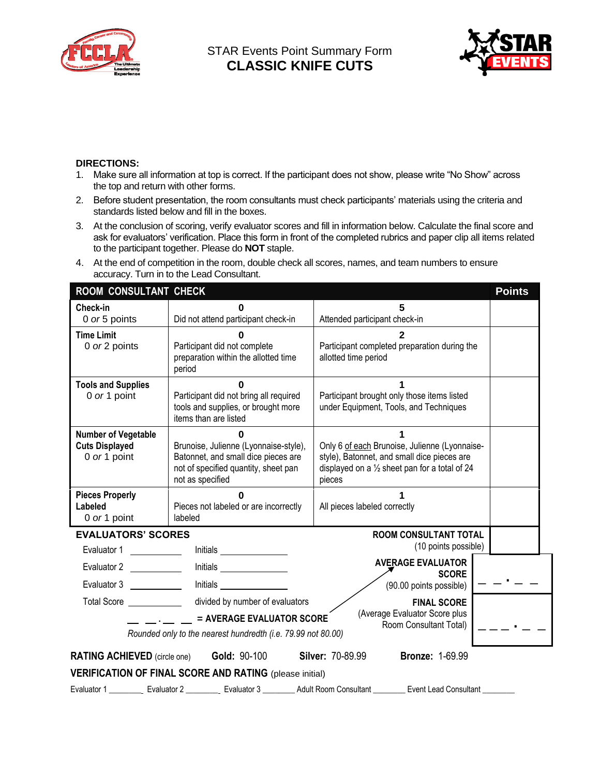

STAR Events Point Summary Form **CLASSIC KNIFE CUTS**



#### **DIRECTIONS:**

- 1. Make sure all information at top is correct. If the participant does not show, please write "No Show" across the top and return with other forms.
- 2. Before student presentation, the room consultants must check participants' materials using the criteria and standards listed below and fill in the boxes.
- 3. At the conclusion of scoring, verify evaluator scores and fill in information below. Calculate the final score and ask for evaluators' verification. Place this form in front of the completed rubrics and paper clip all items related to the participant together. Please do **NOT** staple.
- 4. At the end of competition in the room, double check all scores, names, and team numbers to ensure accuracy. Turn in to the Lead Consultant.

| ROOM CONSULTANT CHECK                                                                                                                                                                                         |                                                                                                                                                                                                                                      |                                                                                                                                                          | <b>Points</b> |  |  |  |
|---------------------------------------------------------------------------------------------------------------------------------------------------------------------------------------------------------------|--------------------------------------------------------------------------------------------------------------------------------------------------------------------------------------------------------------------------------------|----------------------------------------------------------------------------------------------------------------------------------------------------------|---------------|--|--|--|
| Check-in<br>0 or 5 points                                                                                                                                                                                     | Did not attend participant check-in                                                                                                                                                                                                  | 5<br>Attended participant check-in                                                                                                                       |               |  |  |  |
| <b>Time Limit</b><br>0 or 2 points                                                                                                                                                                            | Participant did not complete<br>preparation within the allotted time<br>period                                                                                                                                                       | Participant completed preparation during the<br>allotted time period                                                                                     |               |  |  |  |
| <b>Tools and Supplies</b><br>0 or 1 point                                                                                                                                                                     | Participant did not bring all required<br>tools and supplies, or brought more<br>items than are listed                                                                                                                               | Participant brought only those items listed<br>under Equipment, Tools, and Techniques                                                                    |               |  |  |  |
| <b>Number of Vegetable</b><br><b>Cuts Displayed</b><br>0 or 1 point                                                                                                                                           | Brunoise, Julienne (Lyonnaise-style),<br>Batonnet, and small dice pieces are<br>not of specified quantity, sheet pan<br>not as specified                                                                                             | Only 6 of each Brunoise, Julienne (Lyonnaise-<br>style), Batonnet, and small dice pieces are<br>displayed on a 1/2 sheet pan for a total of 24<br>pieces |               |  |  |  |
| <b>Pieces Properly</b><br>Labeled<br>0 or 1 point                                                                                                                                                             | U<br>Pieces not labeled or are incorrectly<br>labeled                                                                                                                                                                                | All pieces labeled correctly                                                                                                                             |               |  |  |  |
| <b>EVALUATORS' SCORES</b><br>Evaluator 1                                                                                                                                                                      | Initials                                                                                                                                                                                                                             | <b>ROOM CONSULTANT TOTAL</b><br>(10 points possible)                                                                                                     |               |  |  |  |
| Evaluator 2<br>Evaluator 3                                                                                                                                                                                    | Initials <u>such and the set of the set of the set of the set of the set of the set of the set of the set of the set of the set of the set of the set of the set of the set of the set of the set of the set of the set of the s</u> | <b>AVERAGE EVALUATOR</b><br><b>SCORE</b><br>(90.00 points possible)                                                                                      |               |  |  |  |
| divided by number of evaluators<br><b>FINAL SCORE</b><br>(Average Evaluator Score plus<br>= AVERAGE EVALUATOR SCORE<br>Room Consultant Total)<br>Rounded only to the nearest hundredth (i.e. 79.99 not 80.00) |                                                                                                                                                                                                                                      |                                                                                                                                                          |               |  |  |  |
|                                                                                                                                                                                                               | <b>RATING ACHIEVED</b> (circle one) <b>Gold: 90-100</b>                                                                                                                                                                              | <b>Silver: 70-89.99</b><br><b>Bronze: 1-69.99</b>                                                                                                        |               |  |  |  |
|                                                                                                                                                                                                               | <b>VERIFICATION OF FINAL SCORE AND RATING (please initial)</b>                                                                                                                                                                       |                                                                                                                                                          |               |  |  |  |
| Evaluator 1                                                                                                                                                                                                   | Evaluator 2 ___________ Evaluator 3 _________ Adult Room Consultant ___                                                                                                                                                              | <b>Event Lead Consultant</b>                                                                                                                             |               |  |  |  |